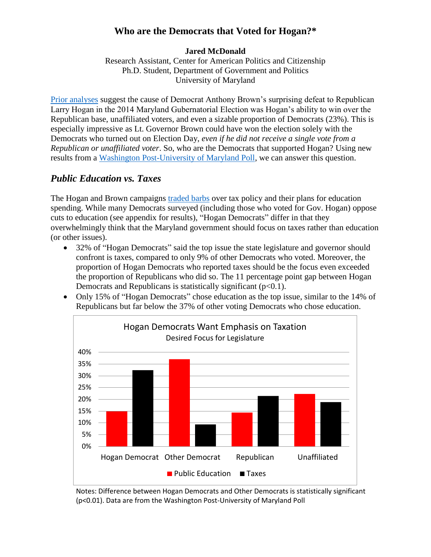### **Who are the Democrats that Voted for Hogan?\***

#### **Jared McDonald**

Research Assistant, Center for American Politics and Citizenship Ph.D. Student, Department of Government and Politics University of Maryland

[Prior analyses](http://www.gvpt.umd.edu/Gubernatorial_Analysis_CAPC.pdf) suggest the cause of Democrat Anthony Brown's surprising defeat to Republican Larry Hogan in the 2014 Maryland Gubernatorial Election was Hogan's ability to win over the Republican base, unaffiliated voters, and even a sizable proportion of Democrats (23%). This is especially impressive as Lt. Governor Brown could have won the election solely with the Democrats who turned out on Election Day, *even if he did not receive a single vote from a Republican or unaffiliated voter*. So, who are the Democrats that supported Hogan? Using new results from a [Washington Post-University of Maryland Poll,](http://www.washingtonpost.com/page/2010-2019/WashingtonPost/2015/02/10/National-Politics/Polling/release_387.xml) we can answer this question.

#### *Public Education vs. Taxes*

The Hogan and Brown campaigns [traded barbs](http://www.washingtonpost.com/local/md-politics/anthony-brown-larry-hogan-trade-attacks-in-2nd-maryland-gubernatorial-debate/2014/10/13/5ce26f98-52f3-11e4-809b-8cc0a295c773_story.html) over tax policy and their plans for education spending. While many Democrats surveyed (including those who voted for Gov. Hogan) oppose cuts to education (see appendix for results), "Hogan Democrats" differ in that they overwhelmingly think that the Maryland government should focus on taxes rather than education (or other issues).

- 32% of "Hogan Democrats" said the top issue the state legislature and governor should confront is taxes, compared to only 9% of other Democrats who voted. Moreover, the proportion of Hogan Democrats who reported taxes should be the focus even exceeded the proportion of Republicans who did so. The 11 percentage point gap between Hogan Democrats and Republicans is statistically significant  $(p<0.1)$ .
- Only 15% of "Hogan Democrats" chose education as the top issue, similar to the 14% of Republicans but far below the 37% of other voting Democrats who chose education.



Notes: Difference between Hogan Democrats and Other Democrats is statistically significant (p<0.01). Data are from the Washington Post-University of Maryland Poll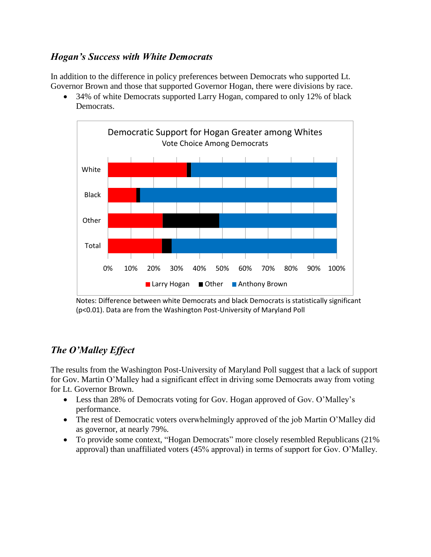### *Hogan's Success with White Democrats*

In addition to the difference in policy preferences between Democrats who supported Lt. Governor Brown and those that supported Governor Hogan, there were divisions by race.

• 34% of white Democrats supported Larry Hogan, compared to only 12% of black Democrats.



Notes: Difference between white Democrats and black Democrats is statistically significant (p<0.01). Data are from the Washington Post-University of Maryland Poll

## *The O'Malley Effect*

The results from the Washington Post-University of Maryland Poll suggest that a lack of support for Gov. Martin O'Malley had a significant effect in driving some Democrats away from voting for Lt. Governor Brown.

- Less than 28% of Democrats voting for Gov. Hogan approved of Gov. O'Malley's performance.
- The rest of Democratic voters overwhelmingly approved of the job Martin O'Malley did as governor, at nearly 79%.
- To provide some context, "Hogan Democrats" more closely resembled Republicans (21%) approval) than unaffiliated voters (45% approval) in terms of support for Gov. O'Malley.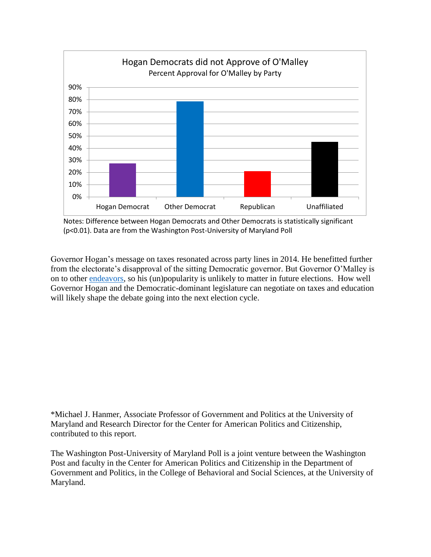

Notes: Difference between Hogan Democrats and Other Democrats is statistically significant (p<0.01). Data are from the Washington Post-University of Maryland Poll

Governor Hogan's message on taxes resonated across party lines in 2014. He benefitted further from the electorate's disapproval of the sitting Democratic governor. But Governor O'Malley is on to other [endeavors,](http://www.washingtonpost.com/politics/omalley-still-positioning-as-clinton-alternative-pauses-to-talk-about-data/2015/03/10/2d438c3a-c725-11e4-a199-6cb5e63819d2_story.html) so his (un)popularity is unlikely to matter in future elections. How well Governor Hogan and the Democratic-dominant legislature can negotiate on taxes and education will likely shape the debate going into the next election cycle.

\*Michael J. Hanmer, Associate Professor of Government and Politics at the University of Maryland and Research Director for the Center for American Politics and Citizenship, contributed to this report.

The Washington Post-University of Maryland Poll is a joint venture between the Washington Post and faculty in the Center for American Politics and Citizenship in the Department of Government and Politics, in the College of Behavioral and Social Sciences, at the University of Maryland.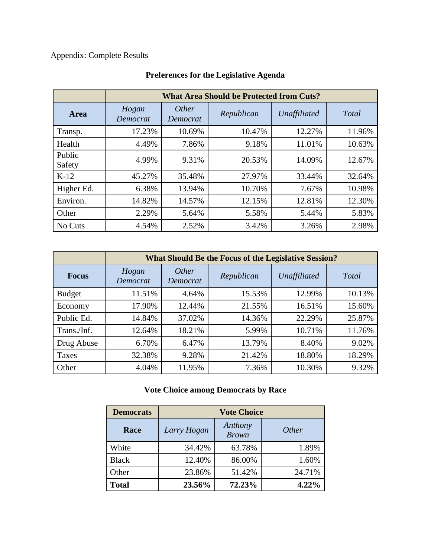## Appendix: Complete Results

|                  | <b>What Area Should be Protected from Cuts?</b> |                   |            |              |        |  |
|------------------|-------------------------------------------------|-------------------|------------|--------------|--------|--|
| Area             | Hogan<br>Democrat                               | Other<br>Democrat | Republican | Unaffiliated | Total  |  |
| Transp.          | 17.23%                                          | 10.69%            | 10.47%     | 12.27%       | 11.96% |  |
| Health           | 4.49%                                           | 7.86%             | 9.18%      | 11.01%       | 10.63% |  |
| Public<br>Safety | 4.99%                                           | 9.31%             | 20.53%     | 14.09%       | 12.67% |  |
| $K-12$           | 45.27%                                          | 35.48%            | 27.97%     | 33.44%       | 32.64% |  |
| Higher Ed.       | 6.38%                                           | 13.94%            | 10.70%     | 7.67%        | 10.98% |  |
| Environ.         | 14.82%                                          | 14.57%            | 12.15%     | 12.81%       | 12.30% |  |
| Other            | 2.29%                                           | 5.64%             | 5.58%      | 5.44%        | 5.83%  |  |
| No Cuts          | 4.54%                                           | 2.52%             | 3.42%      | 3.26%        | 2.98%  |  |

# **Preferences for the Legislative Agenda**

|               | <b>What Should Be the Focus of the Legislative Session?</b> |                   |            |              |        |  |
|---------------|-------------------------------------------------------------|-------------------|------------|--------------|--------|--|
| <b>Focus</b>  | Hogan<br>Democrat                                           | Other<br>Democrat | Republican | Unaffiliated | Total  |  |
| <b>Budget</b> | 11.51%                                                      | 4.64%             | 15.53%     | 12.99%       | 10.13% |  |
| Economy       | 17.90%                                                      | 12.44%            | 21.55%     | 16.51%       | 15.60% |  |
| Public Ed.    | 14.84%                                                      | 37.02%            | 14.36%     | 22.29%       | 25.87% |  |
| Trans./Inf.   | 12.64%                                                      | 18.21%            | 5.99%      | 10.71%       | 11.76% |  |
| Drug Abuse    | 6.70%                                                       | 6.47%             | 13.79%     | 8.40%        | 9.02%  |  |
| Taxes         | 32.38%                                                      | 9.28%             | 21.42%     | 18.80%       | 18.29% |  |
| Other         | 4.04%                                                       | 11.95%            | 7.36%      | 10.30%       | 9.32%  |  |

## **Vote Choice among Democrats by Race**

| <b>Democrats</b> | <b>Vote Choice</b> |                         |              |  |
|------------------|--------------------|-------------------------|--------------|--|
| Race             | Larry Hogan        | Anthony<br><b>Brown</b> | <i>Other</i> |  |
| White            | 34.42%             | 63.78%                  | 1.89%        |  |
| <b>Black</b>     | 12.40%             | 86.00%                  | 1.60%        |  |
| Other            | 23.86%             | 51.42%                  | 24.71%       |  |
| <b>Total</b>     | 23.56%             | 72.23%                  | 4.22%        |  |